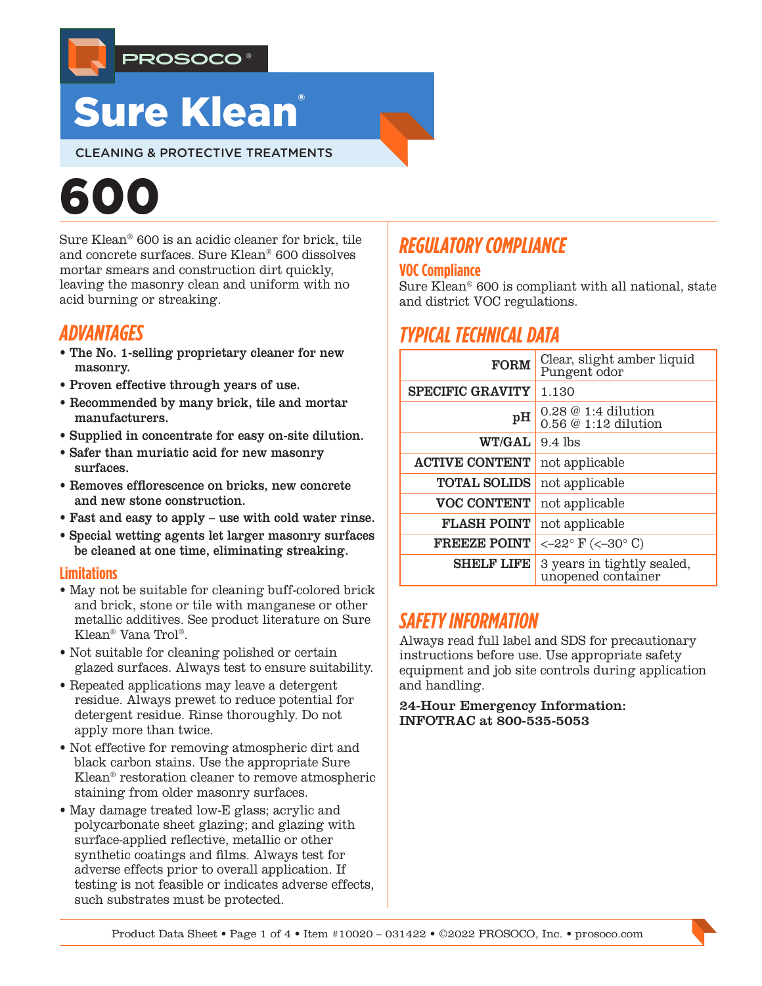

# **Sure Klean**

CLEANING & PROTECTIVE TREATMENTS

# 600

Sure Klean® 600 is an acidic cleaner for brick, tile and concrete surfaces. Sure Klean® 600 dissolves mortar smears and construction dirt quickly, leaving the masonry clean and uniform with no acid burning or streaking.

## *ADVANTAGES*

- The No. 1-selling proprietary cleaner for new masonry.
- Proven effective through years of use.
- Recommended by many brick, tile and mortar manufacturers.
- Supplied in concentrate for easy on-site dilution.
- Safer than muriatic acid for new masonry surfaces.
- Removes efflorescence on bricks, new concrete and new stone construction.
- Fast and easy to apply use with cold water rinse.
- Special wetting agents let larger masonry surfaces be cleaned at one time, eliminating streaking.

## **Limitations**

- May not be suitable for cleaning buff-colored brick and brick, stone or tile with manganese or other metallic additives. See product literature on Sure Klean® Vana Trol®.
- Not suitable for cleaning polished or certain glazed surfaces. Always test to ensure suitability.
- Repeated applications may leave a detergent residue. Always prewet to reduce potential for detergent residue. Rinse thoroughly. Do not apply more than twice.
- Not effective for removing atmospheric dirt and black carbon stains. Use the appropriate Sure Klean® restoration cleaner to remove atmospheric staining from older masonry surfaces.
- May damage treated low-E glass; acrylic and polycarbonate sheet glazing; and glazing with surface-applied reflective, metallic or other synthetic coatings and films. Always test for adverse effects prior to overall application. If testing is not feasible or indicates adverse effects, such substrates must be protected.

# *REGULATORY COMPLIANCE*

## **VOC Compliance**

Sure Klean® 600 is compliant with all national, state and district VOC regulations.

# *TYPICAL TECHNICAL DATA*

| <b>FORM</b>             | Clear, slight amber liquid<br>Pungent odor       |  |  |
|-------------------------|--------------------------------------------------|--|--|
| <b>SPECIFIC GRAVITY</b> | 1.130                                            |  |  |
| pH                      | $0.28 \& 1:4$ dilution<br>0.56 @ 1:12 dilution   |  |  |
| <b>WT/GAL</b>           | $9.4$ lbs                                        |  |  |
| <b>ACTIVE CONTENT</b>   | not applicable                                   |  |  |
| <b>TOTAL SOLIDS</b>     | not applicable                                   |  |  |
| <b>VOC CONTENT</b>      | not applicable                                   |  |  |
| <b>FLASH POINT</b>      | not applicable                                   |  |  |
| <b>FREEZE POINT</b>     | $<-22^{\circ}$ F ( $<-30^{\circ}$ C)             |  |  |
| <b>SHELF LIFE</b>       | 3 years in tightly sealed,<br>unopened container |  |  |

## *SAFETY INFORMATION*

Always read full label and SDS for precautionary instructions before use. Use appropriate safety equipment and job site controls during application and handling.

24-Hour Emergency Information: INFOTRAC at 800-535-5053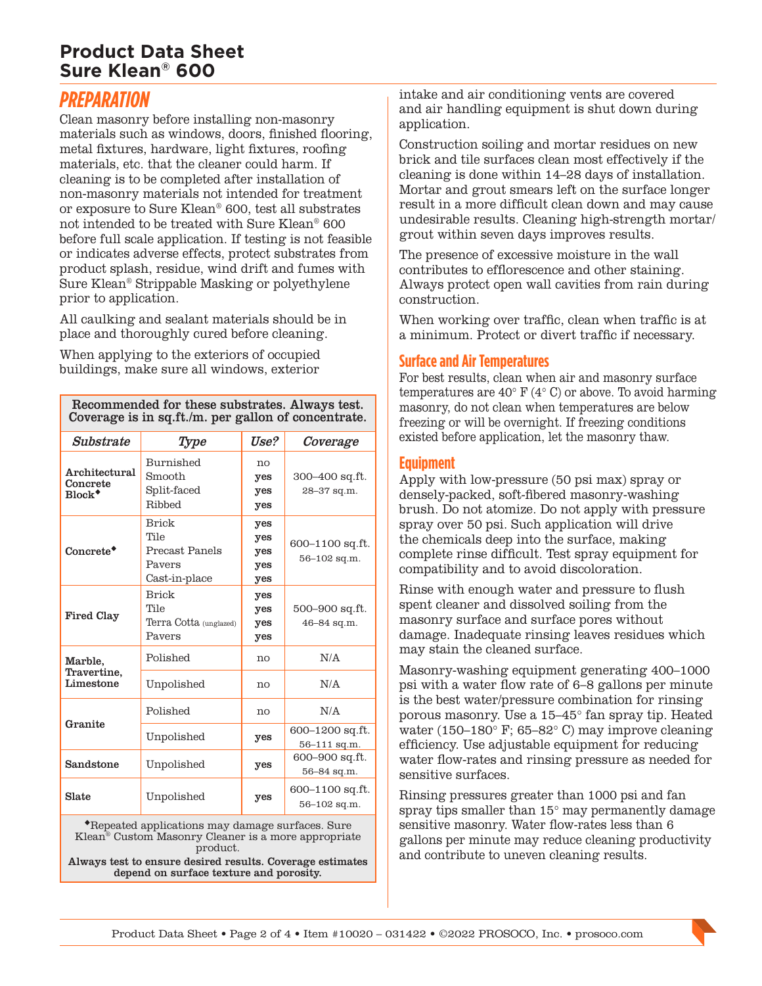## **Product Data Sheet Sure Klean® 600**

## *PREPARATION*

Clean masonry before installing non-masonry materials such as windows, doors, finished flooring, metal fixtures, hardware, light fixtures, roofing materials, etc. that the cleaner could harm. If cleaning is to be completed after installation of non-masonry materials not intended for treatment or exposure to Sure Klean® 600, test all substrates not intended to be treated with Sure Klean® 600 before full scale application. If testing is not feasible or indicates adverse effects, protect substrates from product splash, residue, wind drift and fumes with Sure Klean® Strippable Masking or polyethylene prior to application.

All caulking and sealant materials should be in place and thoroughly cured before cleaning.

When applying to the exteriors of occupied buildings, make sure all windows, exterior

Recommended for these substrates. Always test. Coverage is in sq.ft./m. per gallon of concentrate.

| Substrate                             | Type                                                              | Use?                            | Coverage                            |
|---------------------------------------|-------------------------------------------------------------------|---------------------------------|-------------------------------------|
| Architectural<br>Concrete<br>$Block*$ | Burnished<br>Smooth<br>Split-faced<br>Ribbed                      | no<br>yes<br>yes<br>yes         | 300–400 sq.ft.<br>28-37 sq.m.       |
| $Concrete$ <sup>*</sup>               | <b>Brick</b><br>Tile<br>Precast Panels<br>Payers<br>Cast-in-place | yes<br>yes<br>yes<br>yes<br>yes | 600-1100 sq.ft.<br>$56 - 102$ sq.m. |
| <b>Fired Clay</b>                     | <b>Brick</b><br>Tile<br>Terra Cotta (unglazed)<br>Payers          | yes<br>yes<br>yes<br>yes        | 500-900 sq.ft.<br>46-84 sq.m.       |
| Marble,<br>Travertine.<br>Limestone   | Polished                                                          | no                              | N/A                                 |
|                                       | Unpolished                                                        | no                              | N/A                                 |
| Granite                               | Polished                                                          | no                              | N/A                                 |
|                                       | Unpolished                                                        | yes                             | 600-1200 sq.ft.<br>56-111 sq.m.     |
| Sandstone                             | Unpolished                                                        | yes                             | 600-900 sq.ft.<br>56-84 sq.m.       |
| Slate                                 | Unpolished                                                        | yes                             | 600-1100 sq.ft.<br>$56 - 102$ sq.m. |

Repeated applications may damage surfaces. Sure Klean® Custom Masonry Cleaner is a more appropriate product.

Always test to ensure desired results. Coverage estimates depend on surface texture and porosity.

intake and air conditioning vents are covered and air handling equipment is shut down during application.

Construction soiling and mortar residues on new brick and tile surfaces clean most effectively if the cleaning is done within 14–28 days of installation. Mortar and grout smears left on the surface longer result in a more difficult clean down and may cause undesirable results. Cleaning high-strength mortar/ grout within seven days improves results.

The presence of excessive moisture in the wall contributes to efflorescence and other staining. Always protect open wall cavities from rain during construction.

When working over traffic, clean when traffic is at a minimum. Protect or divert traffic if necessary.

#### **Surface and Air Temperatures**

For best results, clean when air and masonry surface temperatures are  $40^{\circ}$  F ( $4^{\circ}$  C) or above. To avoid harming masonry, do not clean when temperatures are below freezing or will be overnight. If freezing conditions existed before application, let the masonry thaw.

#### **Equipment**

Apply with low-pressure (50 psi max) spray or densely-packed, soft-fibered masonry-washing brush. Do not atomize. Do not apply with pressure spray over 50 psi. Such application will drive the chemicals deep into the surface, making complete rinse difficult. Test spray equipment for compatibility and to avoid discoloration.

Rinse with enough water and pressure to flush spent cleaner and dissolved soiling from the masonry surface and surface pores without damage. Inadequate rinsing leaves residues which may stain the cleaned surface.

Masonry-washing equipment generating 400–1000 psi with a water flow rate of 6–8 gallons per minute is the best water/pressure combination for rinsing porous masonry. Use a 15–45° fan spray tip. Heated water (150–180° F; 65–82° C) may improve cleaning efficiency. Use adjustable equipment for reducing water flow-rates and rinsing pressure as needed for sensitive surfaces.

Rinsing pressures greater than 1000 psi and fan spray tips smaller than 15° may permanently damage sensitive masonry. Water flow-rates less than 6 gallons per minute may reduce cleaning productivity and contribute to uneven cleaning results.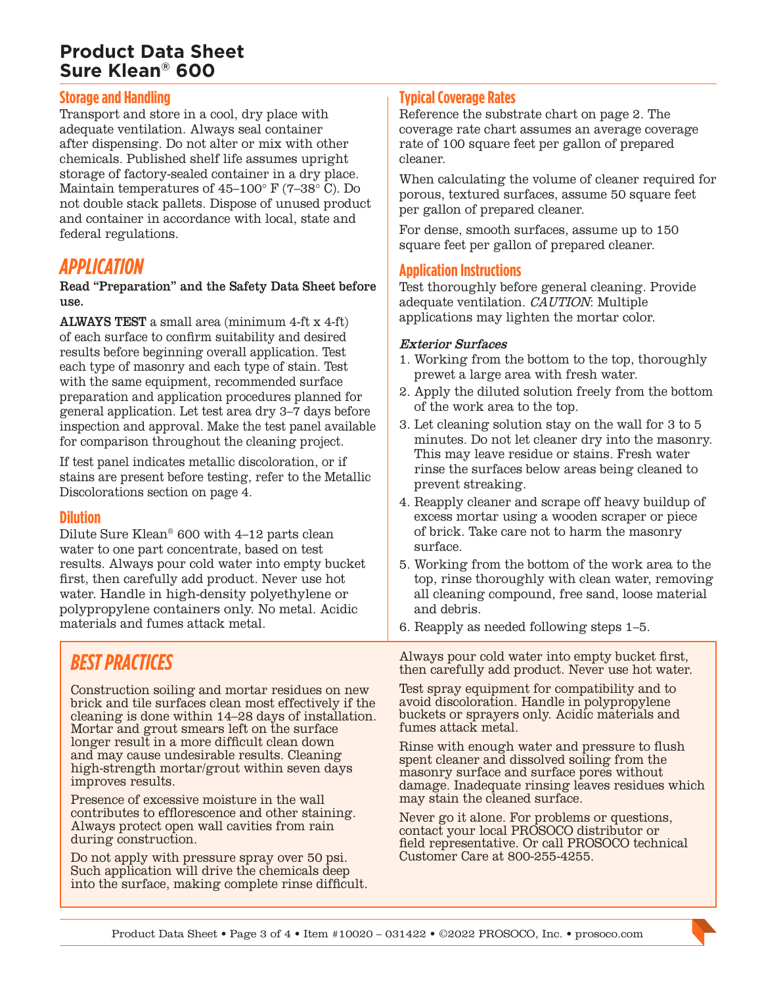## **Product Data Sheet Sure Klean® 600**

### **Storage and Handling**

Transport and store in a cool, dry place with adequate ventilation. Always seal container after dispensing. Do not alter or mix with other chemicals. Published shelf life assumes upright storage of factory-sealed container in a dry place. Maintain temperatures of 45–100° F (7–38° C). Do not double stack pallets. Dispose of unused product and container in accordance with local, state and federal regulations.

## *APPLICATION*

Read "Preparation" and the Safety Data Sheet before use.

ALWAYS TEST a small area (minimum 4-ft x 4-ft) of each surface to confirm suitability and desired results before beginning overall application. Test each type of masonry and each type of stain. Test with the same equipment, recommended surface preparation and application procedures planned for general application. Let test area dry 3–7 days before inspection and approval. Make the test panel available for comparison throughout the cleaning project.

If test panel indicates metallic discoloration, or if stains are present before testing, refer to the Metallic Discolorations section on page 4.

#### **Dilution**

Dilute Sure Klean® 600 with 4–12 parts clean water to one part concentrate, based on test results. Always pour cold water into empty bucket first, then carefully add product. Never use hot water. Handle in high-density polyethylene or polypropylene containers only. No metal. Acidic materials and fumes attack metal.

# *BEST PRACTICES*

Construction soiling and mortar residues on new brick and tile surfaces clean most effectively if the cleaning is done within 14–28 days of installation. Mortar and grout smears left on the surface longer result in a more difficult clean down and may cause undesirable results. Cleaning high-strength mortar/grout within seven days improves results.

Presence of excessive moisture in the wall contributes to efflorescence and other staining. Always protect open wall cavities from rain during construction.

Do not apply with pressure spray over 50 psi. Such application will drive the chemicals deep into the surface, making complete rinse difficult.

## **Typical Coverage Rates**

Reference the substrate chart on page 2. The coverage rate chart assumes an average coverage rate of 100 square feet per gallon of prepared cleaner.

When calculating the volume of cleaner required for porous, textured surfaces, assume 50 square feet per gallon of prepared cleaner.

For dense, smooth surfaces, assume up to 150 square feet per gallon of prepared cleaner.

#### **Application Instructions**

Test thoroughly before general cleaning. Provide adequate ventilation. CAUTION: Multiple applications may lighten the mortar color.

#### Exterior Surfaces

- 1. Working from the bottom to the top, thoroughly prewet a large area with fresh water.
- 2. Apply the diluted solution freely from the bottom of the work area to the top.
- 3. Let cleaning solution stay on the wall for 3 to 5 minutes. Do not let cleaner dry into the masonry. This may leave residue or stains. Fresh water rinse the surfaces below areas being cleaned to prevent streaking.
- 4. Reapply cleaner and scrape off heavy buildup of excess mortar using a wooden scraper or piece of brick. Take care not to harm the masonry surface.
- 5. Working from the bottom of the work area to the top, rinse thoroughly with clean water, removing all cleaning compound, free sand, loose material and debris.
- 6. Reapply as needed following steps 1–5.

Always pour cold water into empty bucket first, then carefully add product. Never use hot water.

Test spray equipment for compatibility and to avoid discoloration. Handle in polypropylene buckets or sprayers only. Acidic materials and fumes attack metal.

Rinse with enough water and pressure to flush spent cleaner and dissolved soiling from the masonry surface and surface pores without damage. Inadequate rinsing leaves residues which may stain the cleaned surface.

Never go it alone. For problems or questions, contact your local PROSOCO distributor or field representative. Or call PROSOCO technical Customer Care at 800-255-4255.